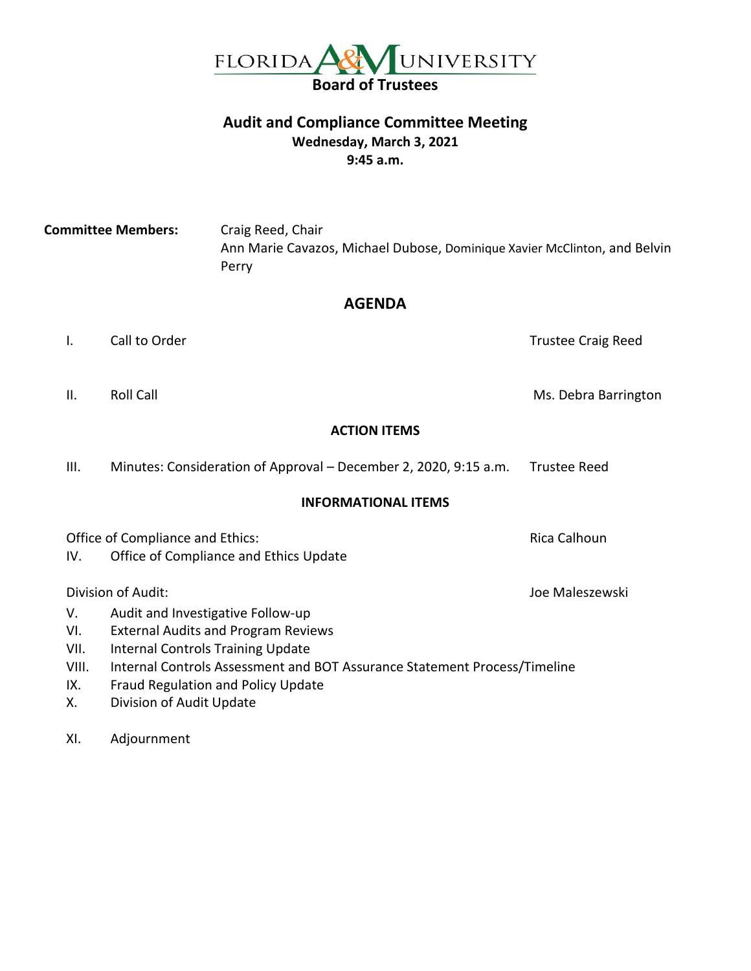

#### **Audit and Compliance Committee Meeting Wednesday, March 3, 2021 9:45 a.m.**

**Committee Members:** Craig Reed, Chair Ann Marie Cavazos, Michael Dubose, Dominique Xavier McClinton, and Belvin Perry

#### **AGENDA**

I. Call to Order Trustee Craig Reed

II. Roll Call **Roll Call** Ms. Debra Barrington

#### **ACTION ITEMS**

| Ш. | Minutes: Consideration of Approval – December 2, 2020, 9:15 a.m. | <b>Trustee Reed</b> |
|----|------------------------------------------------------------------|---------------------|
|----|------------------------------------------------------------------|---------------------|

#### **INFORMATIONAL ITEMS**

Office of Compliance and Ethics: Rica Calhoun Rica Calhoun

IV. Office of Compliance and Ethics Update

Division of Audit: Joe Maleszewski

- V. Audit and Investigative Follow-up
- VI. External Audits and Program Reviews
- VII. Internal Controls Training Update
- VIII. Internal Controls Assessment and BOT Assurance Statement Process/Timeline
- IX. Fraud Regulation and Policy Update
- X. Division of Audit Update

XI. Adjournment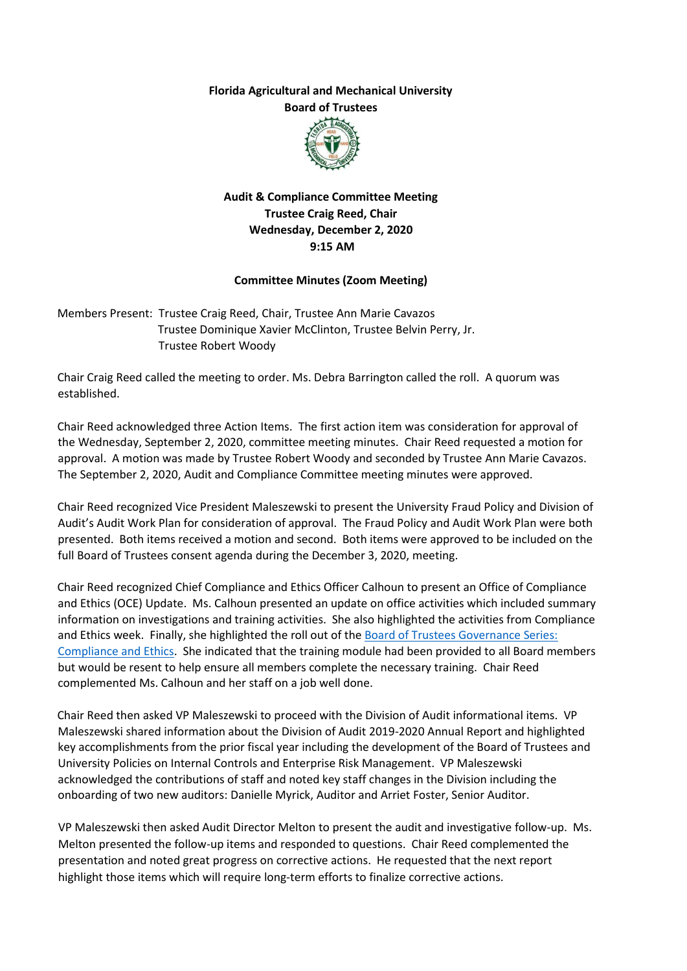**Florida Agricultural and Mechanical University Board of Trustees** 



**Audit & Compliance Committee Meeting Trustee Craig Reed, Chair Wednesday, December 2, 2020 9:15 AM** 

#### **Committee Minutes (Zoom Meeting)**

Members Present: Trustee Craig Reed, Chair, Trustee Ann Marie Cavazos Trustee Dominique Xavier McClinton, Trustee Belvin Perry, Jr. Trustee Robert Woody

Chair Craig Reed called the meeting to order. Ms. Debra Barrington called the roll. A quorum was established.

Chair Reed acknowledged three Action Items. The first action item was consideration for approval of the Wednesday, September 2, 2020, committee meeting minutes. Chair Reed requested a motion for approval. A motion was made by Trustee Robert Woody and seconded by Trustee Ann Marie Cavazos. The September 2, 2020, Audit and Compliance Committee meeting minutes were approved.

Chair Reed recognized Vice President Maleszewski to present the University Fraud Policy and Division of Audit's Audit Work Plan for consideration of approval. The Fraud Policy and Audit Work Plan were both presented. Both items received a motion and second. Both items were approved to be included on the full Board of Trustees consent agenda during the December 3, 2020, meeting.

Chair Reed recognized Chief Compliance and Ethics Officer Calhoun to present an Office of Compliance and Ethics (OCE) Update. Ms. Calhoun presented an update on office activities which included summary information on investigations and training activities. She also highlighted the activities from Compliance and Ethics week. Finally, she highlighted the roll out of the Board of Trustees Governance Series: [Compliance and Ethics.](https://famu.co1.qualtrics.com/jfe/form/SV_0jqXaHOM8rwU5Fj) She indicated that the training module had been provided to all Board members but would be resent to help ensure all members complete the necessary training. Chair Reed complemented Ms. Calhoun and her staff on a job well done.

Chair Reed then asked VP Maleszewski to proceed with the Division of Audit informational items. VP Maleszewski shared information about the Division of Audit 2019-2020 Annual Report and highlighted key accomplishments from the prior fiscal year including the development of the Board of Trustees and University Policies on Internal Controls and Enterprise Risk Management. VP Maleszewski acknowledged the contributions of staff and noted key staff changes in the Division including the onboarding of two new auditors: Danielle Myrick, Auditor and Arriet Foster, Senior Auditor.

VP Maleszewski then asked Audit Director Melton to present the audit and investigative follow-up. Ms. Melton presented the follow-up items and responded to questions. Chair Reed complemented the presentation and noted great progress on corrective actions. He requested that the next report highlight those items which will require long-term efforts to finalize corrective actions.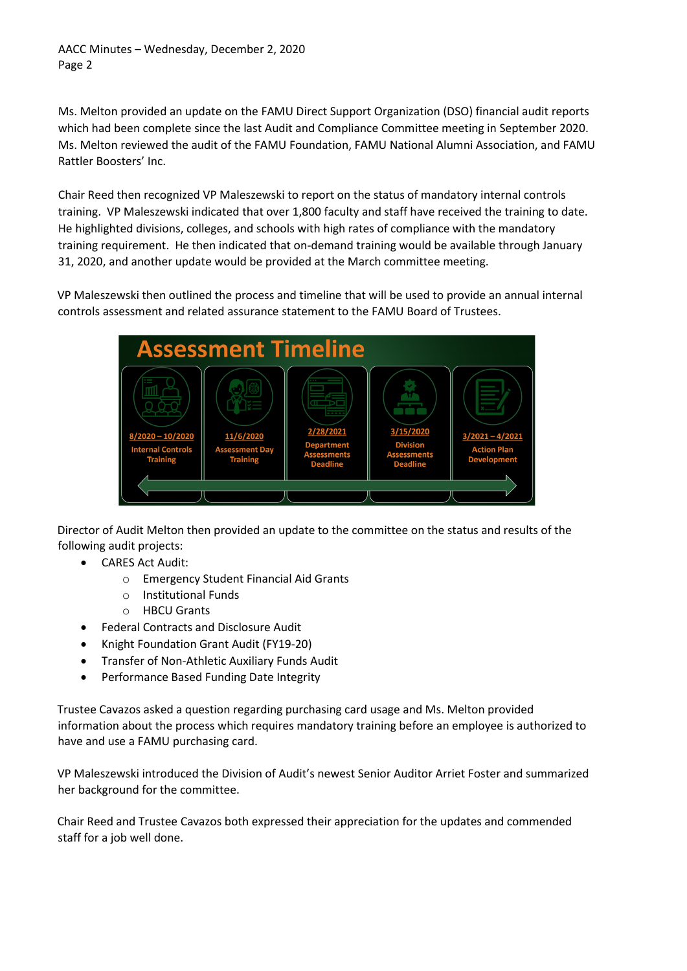AACC Minutes – Wednesday, December 2, 2020 Page 2

Ms. Melton provided an update on the FAMU Direct Support Organization (DSO) financial audit reports which had been complete since the last Audit and Compliance Committee meeting in September 2020. Ms. Melton reviewed the audit of the FAMU Foundation, FAMU National Alumni Association, and FAMU Rattler Boosters' Inc.

Chair Reed then recognized VP Maleszewski to report on the status of mandatory internal controls training. VP Maleszewski indicated that over 1,800 faculty and staff have received the training to date. He highlighted divisions, colleges, and schools with high rates of compliance with the mandatory training requirement. He then indicated that on-demand training would be available through January 31, 2020, and another update would be provided at the March committee meeting.

VP Maleszewski then outlined the process and timeline that will be used to provide an annual internal controls assessment and related assurance statement to the FAMU Board of Trustees.



Director of Audit Melton then provided an update to the committee on the status and results of the following audit projects:

- CARES Act Audit:
	- o Emergency Student Financial Aid Grants
	- o Institutional Funds
	- o HBCU Grants
- Federal Contracts and Disclosure Audit
- Knight Foundation Grant Audit (FY19-20)
- Transfer of Non-Athletic Auxiliary Funds Audit
- Performance Based Funding Date Integrity

Trustee Cavazos asked a question regarding purchasing card usage and Ms. Melton provided information about the process which requires mandatory training before an employee is authorized to have and use a FAMU purchasing card.

VP Maleszewski introduced the Division of Audit's newest Senior Auditor Arriet Foster and summarized her background for the committee.

Chair Reed and Trustee Cavazos both expressed their appreciation for the updates and commended staff for a job well done.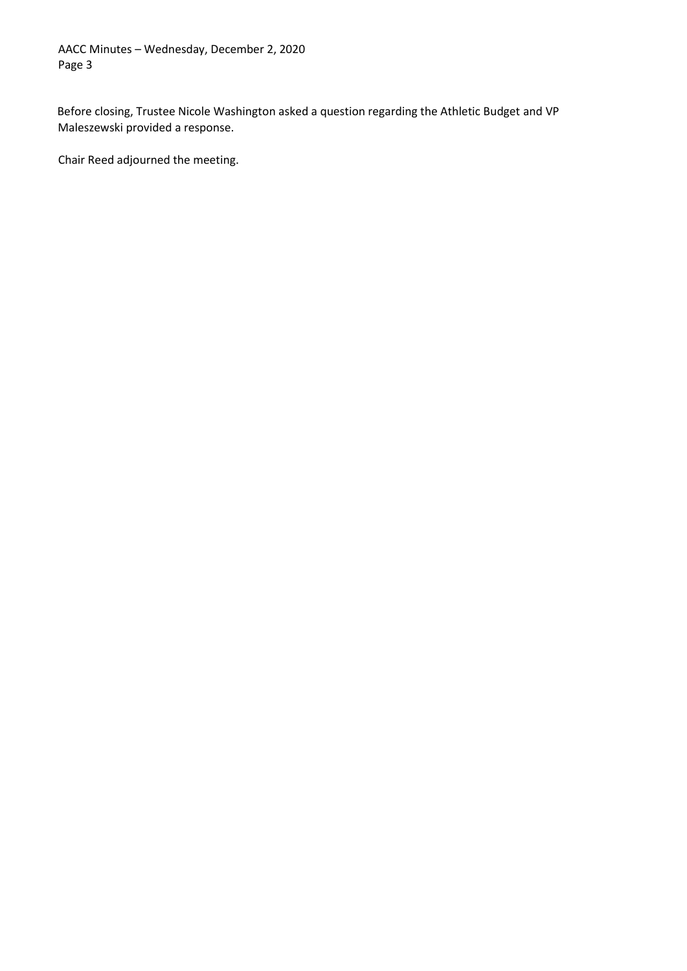AACC Minutes – Wednesday, December 2, 2020 Page 3

Before closing, Trustee Nicole Washington asked a question regarding the Athletic Budget and VP Maleszewski provided a response.

Chair Reed adjourned the meeting.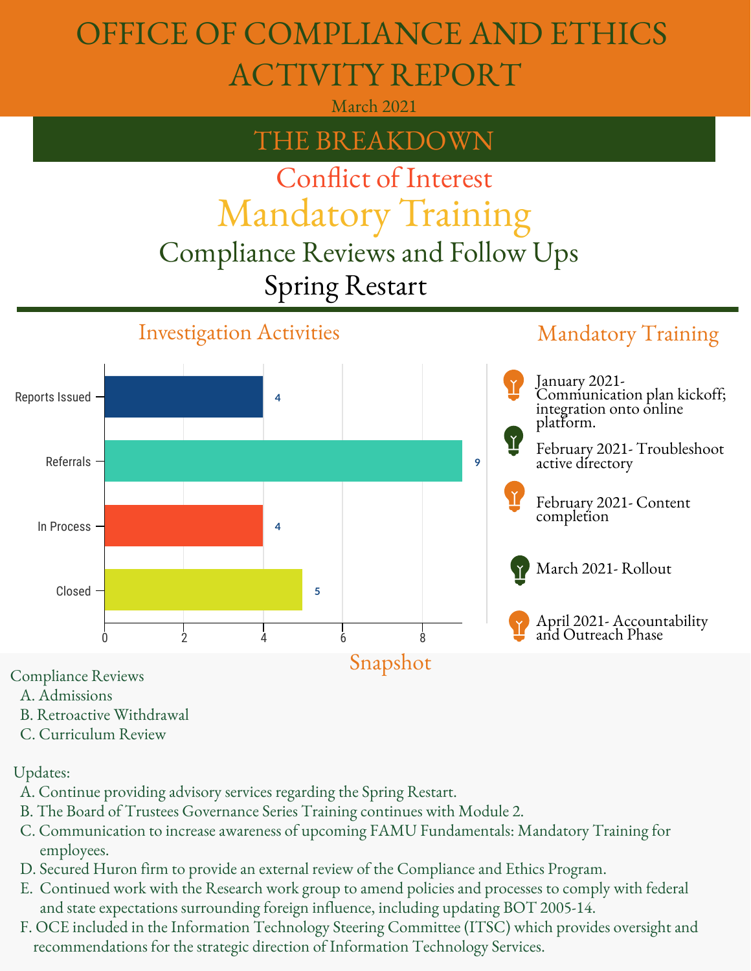# OFFICE OF COMPLIANCE AND ETHICS ACTIVITY REPORT

March 2021

# THE BREAKDOWN

# Mandatory Training Conflict of Interest

# Compliance Reviews and Follow Ups Spring Restart

#### Investigation Activities Mandatory Training **4 9 4 5** Reports Issued Referrals In Process Closed 0 2 4 6 8 *40% Male 70%* April 2021- Accountability *Female* March 2021- Rollout Snapshot January 2021- Communication plan kickoff; integration onto online platform. February 2021- Troubleshoot active directory February 2021- Content completion and Outreach Phase

Compliance Reviews

- A. Admissions
- B. Retroactive Withdrawal
- C. Curriculum Review

Updates:

- A. Continue providing advisory services regarding the Spring Restart.
- B. The Board of Trustees Governance Series Training continues with Module 2.
- C. Communication to increase awareness of upcoming FAMU Fundamentals: Mandatory Training for employees.
- D. Secured Huron firm to provide an external review of the Compliance and Ethics Program.
- E. Continued work with the Research work group to amend policies and processes to comply with federal and state expectations surrounding foreign influence, including updating BOT 2005-14.
- F. OCE included in the Information Technology Steering Committee (ITSC) which provides oversight and recommendations for the strategic direction of Information Technology Services.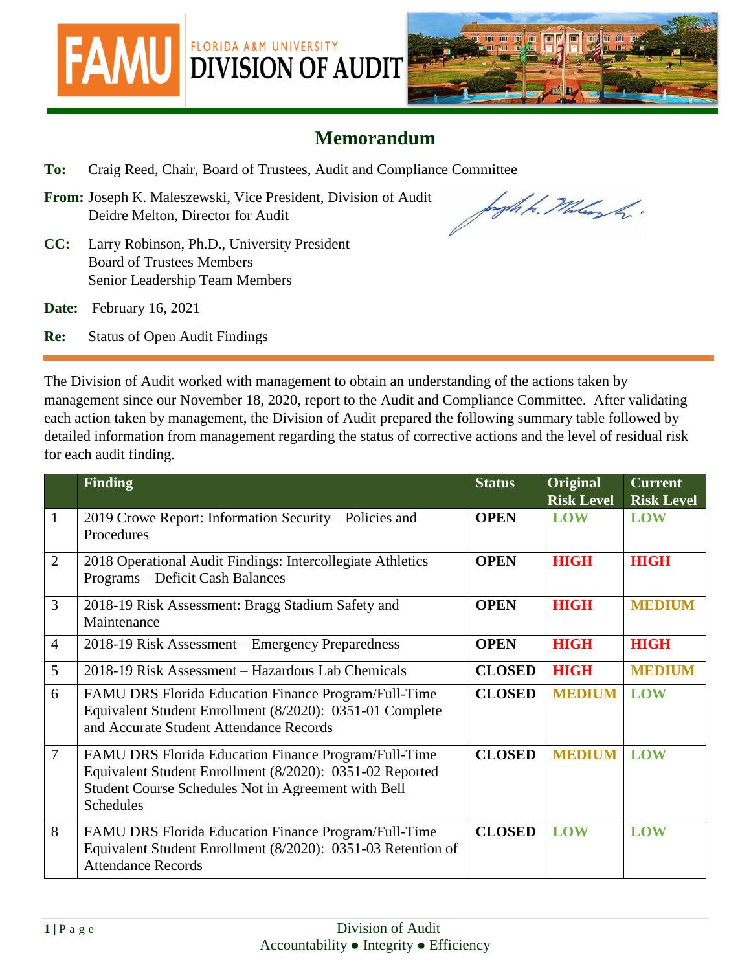



## **Memorandum**

- **To:** Craig Reed, Chair, Board of Trustees, Audit and Compliance Committee
- **From:** Joseph K. Maleszewski, Vice President, Division of Audit Deidre Melton, Director for Audit

bagh h. Malazh.

- **CC:** Larry Robinson, Ph.D., University President Board of Trustees Members Senior Leadership Team Members
- **Date:** February 16, 2021

**Re:** Status of Open Audit Findings

The Division of Audit worked with management to obtain an understanding of the actions taken by management since our November 18, 2020, report to the Audit and Compliance Committee. After validating each action taken by management, the Division of Audit prepared the following summary table followed by detailed information from management regarding the status of corrective actions and the level of residual risk for each audit finding.

|                | <b>Finding</b>                                                                                                                                                                              | <b>Status</b> | Original<br><b>Risk Level</b> | <b>Current</b><br><b>Risk Level</b> |
|----------------|---------------------------------------------------------------------------------------------------------------------------------------------------------------------------------------------|---------------|-------------------------------|-------------------------------------|
| $\mathbf{1}$   | 2019 Crowe Report: Information Security – Policies and<br>Procedures                                                                                                                        | <b>OPEN</b>   | <b>LOW</b>                    | <b>LOW</b>                          |
| $\overline{2}$ | 2018 Operational Audit Findings: Intercollegiate Athletics<br>Programs - Deficit Cash Balances                                                                                              | <b>OPEN</b>   | <b>HIGH</b>                   | <b>HIGH</b>                         |
| $\overline{3}$ | 2018-19 Risk Assessment: Bragg Stadium Safety and<br>Maintenance                                                                                                                            | <b>OPEN</b>   | <b>HIGH</b>                   | <b>MEDIUM</b>                       |
| $\overline{4}$ | 2018-19 Risk Assessment – Emergency Preparedness                                                                                                                                            | <b>OPEN</b>   | <b>HIGH</b>                   | <b>HIGH</b>                         |
| 5              | 2018-19 Risk Assessment – Hazardous Lab Chemicals                                                                                                                                           | <b>CLOSED</b> | <b>HIGH</b>                   | <b>MEDIUM</b>                       |
| 6              | FAMU DRS Florida Education Finance Program/Full-Time<br>Equivalent Student Enrollment (8/2020): 0351-01 Complete<br>and Accurate Student Attendance Records                                 | <b>CLOSED</b> | <b>MEDIUM</b>                 | <b>LOW</b>                          |
| $\overline{7}$ | FAMU DRS Florida Education Finance Program/Full-Time<br>Equivalent Student Enrollment (8/2020): 0351-02 Reported<br>Student Course Schedules Not in Agreement with Bell<br><b>Schedules</b> | <b>CLOSED</b> | <b>MEDIUM</b>                 | <b>LOW</b>                          |
| 8              | FAMU DRS Florida Education Finance Program/Full-Time<br>Equivalent Student Enrollment (8/2020): 0351-03 Retention of<br><b>Attendance Records</b>                                           | <b>CLOSED</b> | <b>LOW</b>                    | <b>LOW</b>                          |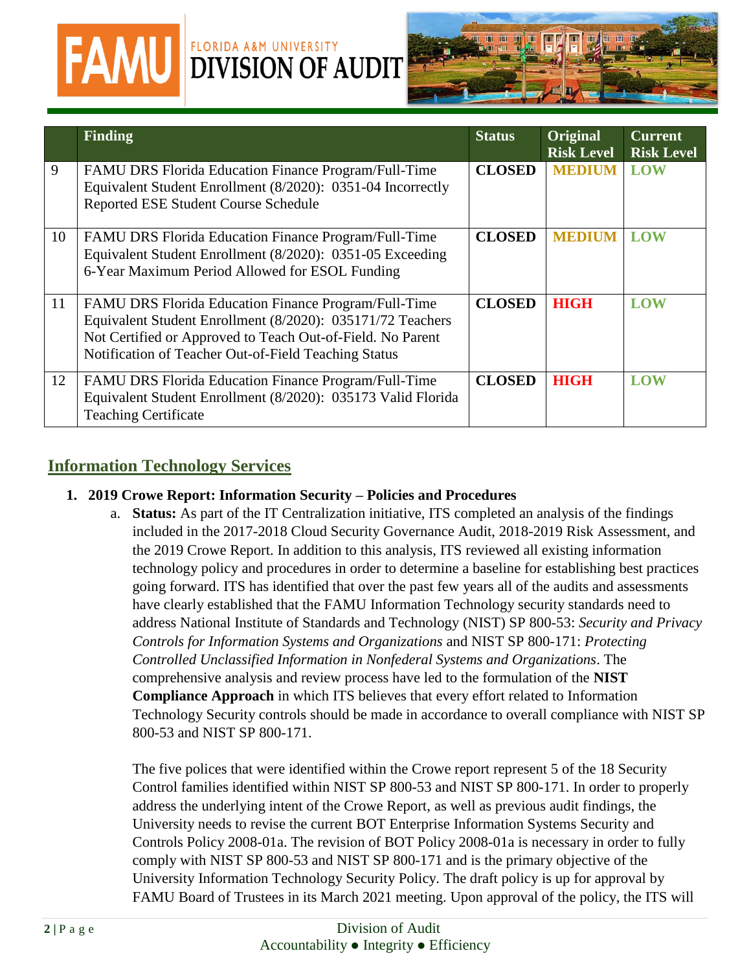

# **FAMU** DIVISION OF AUDIT



|    | <b>Finding</b>                                                                                                                                                                                                                                  | <b>Status</b> | <b>Original</b><br><b>Risk Level</b> | <b>Current</b><br><b>Risk Level</b> |
|----|-------------------------------------------------------------------------------------------------------------------------------------------------------------------------------------------------------------------------------------------------|---------------|--------------------------------------|-------------------------------------|
| 9  | FAMU DRS Florida Education Finance Program/Full-Time<br>Equivalent Student Enrollment (8/2020): 0351-04 Incorrectly<br><b>Reported ESE Student Course Schedule</b>                                                                              | <b>CLOSED</b> | <b>MEDIUM</b>                        | <b>LOW</b>                          |
| 10 | <b>FAMU DRS Florida Education Finance Program/Full-Time</b><br>Equivalent Student Enrollment (8/2020): 0351-05 Exceeding<br>6-Year Maximum Period Allowed for ESOL Funding                                                                      | <b>CLOSED</b> | <b>MEDIUM</b>                        | LOW                                 |
| 11 | <b>FAMU DRS Florida Education Finance Program/Full-Time</b><br>Equivalent Student Enrollment (8/2020): 035171/72 Teachers<br>Not Certified or Approved to Teach Out-of-Field. No Parent<br>Notification of Teacher Out-of-Field Teaching Status | <b>CLOSED</b> | <b>HIGH</b>                          | <b>LOW</b>                          |
| 12 | FAMU DRS Florida Education Finance Program/Full-Time<br>Equivalent Student Enrollment (8/2020): 035173 Valid Florida<br><b>Teaching Certificate</b>                                                                                             | <b>CLOSED</b> | <b>HIGH</b>                          | <b>LOW</b>                          |

### **Information Technology Services**

#### **1. 2019 Crowe Report: Information Security – Policies and Procedures**

a. **Status:** As part of the IT Centralization initiative, ITS completed an analysis of the findings included in the 2017-2018 Cloud Security Governance Audit, 2018-2019 Risk Assessment, and the 2019 Crowe Report. In addition to this analysis, ITS reviewed all existing information technology policy and procedures in order to determine a baseline for establishing best practices going forward. ITS has identified that over the past few years all of the audits and assessments have clearly established that the FAMU Information Technology security standards need to address National Institute of Standards and Technology (NIST) SP 800-53: *Security and Privacy Controls for Information Systems and Organizations* and NIST SP 800-171: *Protecting Controlled Unclassified Information in Nonfederal Systems and Organizations*. The comprehensive analysis and review process have led to the formulation of the **NIST Compliance Approach** in which ITS believes that every effort related to Information Technology Security controls should be made in accordance to overall compliance with NIST SP 800-53 and NIST SP 800-171.

The five polices that were identified within the Crowe report represent 5 of the 18 Security Control families identified within NIST SP 800-53 and NIST SP 800-171. In order to properly address the underlying intent of the Crowe Report, as well as previous audit findings, the University needs to revise the current BOT Enterprise Information Systems Security and Controls Policy 2008-01a. The revision of BOT Policy 2008-01a is necessary in order to fully comply with NIST SP 800-53 and NIST SP 800-171 and is the primary objective of the University Information Technology Security Policy. The draft policy is up for approval by FAMU Board of Trustees in its March 2021 meeting. Upon approval of the policy, the ITS will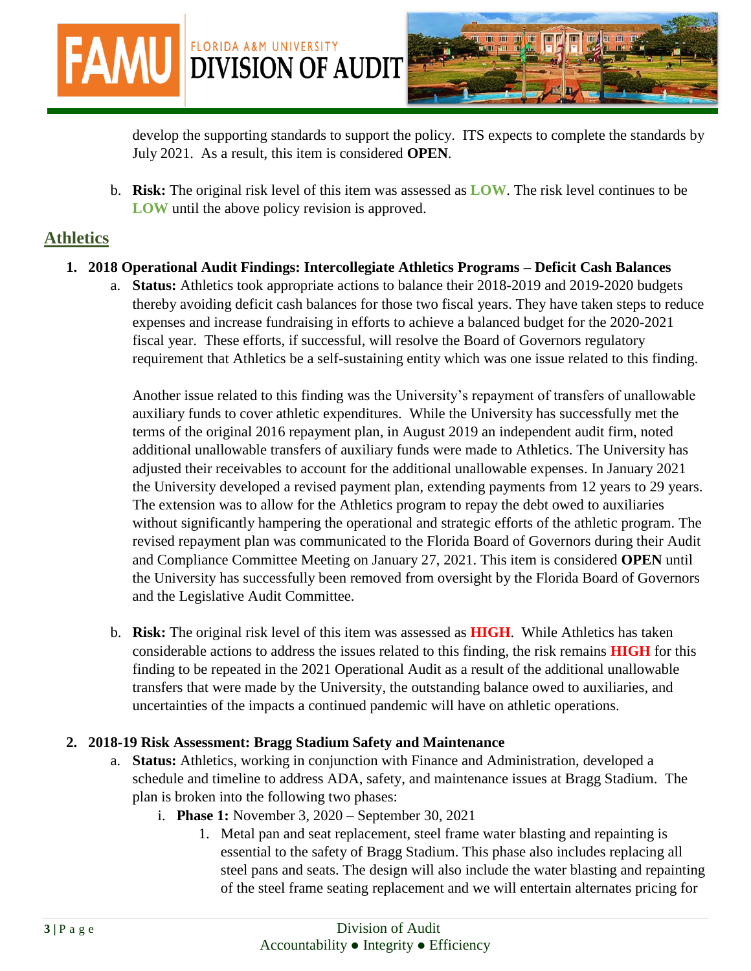develop the supporting standards to support the policy. ITS expects to complete the standards by July 2021. As a result, this item is considered **OPEN**.

b. **Risk:** The original risk level of this item was assessed as **LOW**. The risk level continues to be **LOW** until the above policy revision is approved.

#### **Athletics**

**1. 2018 Operational Audit Findings: Intercollegiate Athletics Programs – Deficit Cash Balances**

**FAMU DIVISION OF AUDIT** 

FLORIDA A&M UNIVERSITY

a. **Status:** Athletics took appropriate actions to balance their 2018-2019 and 2019-2020 budgets thereby avoiding deficit cash balances for those two fiscal years. They have taken steps to reduce expenses and increase fundraising in efforts to achieve a balanced budget for the 2020-2021 fiscal year. These efforts, if successful, will resolve the Board of Governors regulatory requirement that Athletics be a self-sustaining entity which was one issue related to this finding.

Another issue related to this finding was the University's repayment of transfers of unallowable auxiliary funds to cover athletic expenditures. While the University has successfully met the terms of the original 2016 repayment plan, in August 2019 an independent audit firm, noted additional unallowable transfers of auxiliary funds were made to Athletics. The University has adjusted their receivables to account for the additional unallowable expenses. In January 2021 the University developed a revised payment plan, extending payments from 12 years to 29 years. The extension was to allow for the Athletics program to repay the debt owed to auxiliaries without significantly hampering the operational and strategic efforts of the athletic program. The revised repayment plan was communicated to the Florida Board of Governors during their Audit and Compliance Committee Meeting on January 27, 2021. This item is considered **OPEN** until the University has successfully been removed from oversight by the Florida Board of Governors and the Legislative Audit Committee.

b. **Risk:** The original risk level of this item was assessed as **HIGH**. While Athletics has taken considerable actions to address the issues related to this finding, the risk remains **HIGH** for this finding to be repeated in the 2021 Operational Audit as a result of the additional unallowable transfers that were made by the University, the outstanding balance owed to auxiliaries, and uncertainties of the impacts a continued pandemic will have on athletic operations.

#### **2. 2018-19 Risk Assessment: Bragg Stadium Safety and Maintenance**

- a. **Status:** Athletics, working in conjunction with Finance and Administration, developed a schedule and timeline to address ADA, safety, and maintenance issues at Bragg Stadium. The plan is broken into the following two phases:
	- i. **Phase 1:** November 3, 2020 September 30, 2021
		- 1. Metal pan and seat replacement, steel frame water blasting and repainting is essential to the safety of Bragg Stadium. This phase also includes replacing all steel pans and seats. The design will also include the water blasting and repainting of the steel frame seating replacement and we will entertain alternates pricing for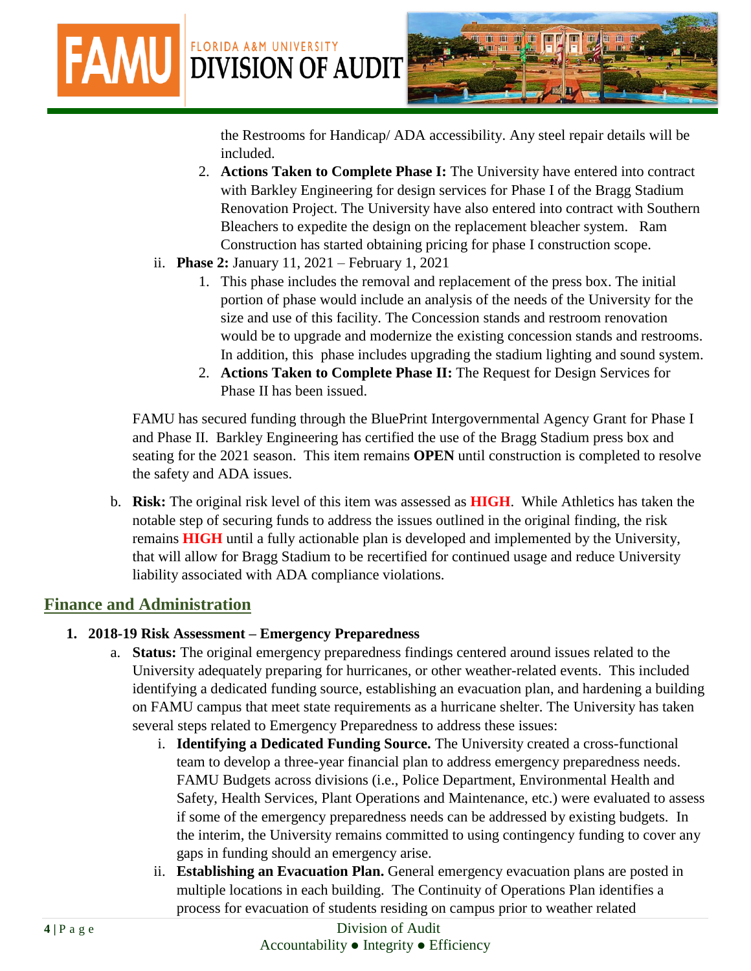**FAMU DIVISION OF AUDIT** 

the Restrooms for Handicap/ ADA accessibility. Any steel repair details will be included.

- 2. **Actions Taken to Complete Phase I:** The University have entered into contract with Barkley Engineering for design services for Phase I of the Bragg Stadium Renovation Project. The University have also entered into contract with Southern Bleachers to expedite the design on the replacement bleacher system. Ram Construction has started obtaining pricing for phase I construction scope.
- ii. **Phase 2:** January 11, 2021 February 1, 2021

FLORIDA A&M UNIVERSITY

- 1. This phase includes the removal and replacement of the press box. The initial portion of phase would include an analysis of the needs of the University for the size and use of this facility. The Concession stands and restroom renovation would be to upgrade and modernize the existing concession stands and restrooms. In addition, this phase includes upgrading the stadium lighting and sound system.
- 2. **Actions Taken to Complete Phase II:** The Request for Design Services for Phase II has been issued.

FAMU has secured funding through the BluePrint Intergovernmental Agency Grant for Phase I and Phase II. Barkley Engineering has certified the use of the Bragg Stadium press box and seating for the 2021 season. This item remains **OPEN** until construction is completed to resolve the safety and ADA issues.

b. **Risk:** The original risk level of this item was assessed as **HIGH**. While Athletics has taken the notable step of securing funds to address the issues outlined in the original finding, the risk remains **HIGH** until a fully actionable plan is developed and implemented by the University, that will allow for Bragg Stadium to be recertified for continued usage and reduce University liability associated with ADA compliance violations.

## **Finance and Administration**

#### **1. 2018-19 Risk Assessment – Emergency Preparedness**

- a. **Status:** The original emergency preparedness findings centered around issues related to the University adequately preparing for hurricanes, or other weather-related events. This included identifying a dedicated funding source, establishing an evacuation plan, and hardening a building on FAMU campus that meet state requirements as a hurricane shelter. The University has taken several steps related to Emergency Preparedness to address these issues:
	- i. **Identifying a Dedicated Funding Source.** The University created a cross-functional team to develop a three-year financial plan to address emergency preparedness needs. FAMU Budgets across divisions (i.e., Police Department, Environmental Health and Safety, Health Services, Plant Operations and Maintenance, etc.) were evaluated to assess if some of the emergency preparedness needs can be addressed by existing budgets. In the interim, the University remains committed to using contingency funding to cover any gaps in funding should an emergency arise.
	- ii. **Establishing an Evacuation Plan.** General emergency evacuation plans are posted in multiple locations in each building. The Continuity of Operations Plan identifies a process for evacuation of students residing on campus prior to weather related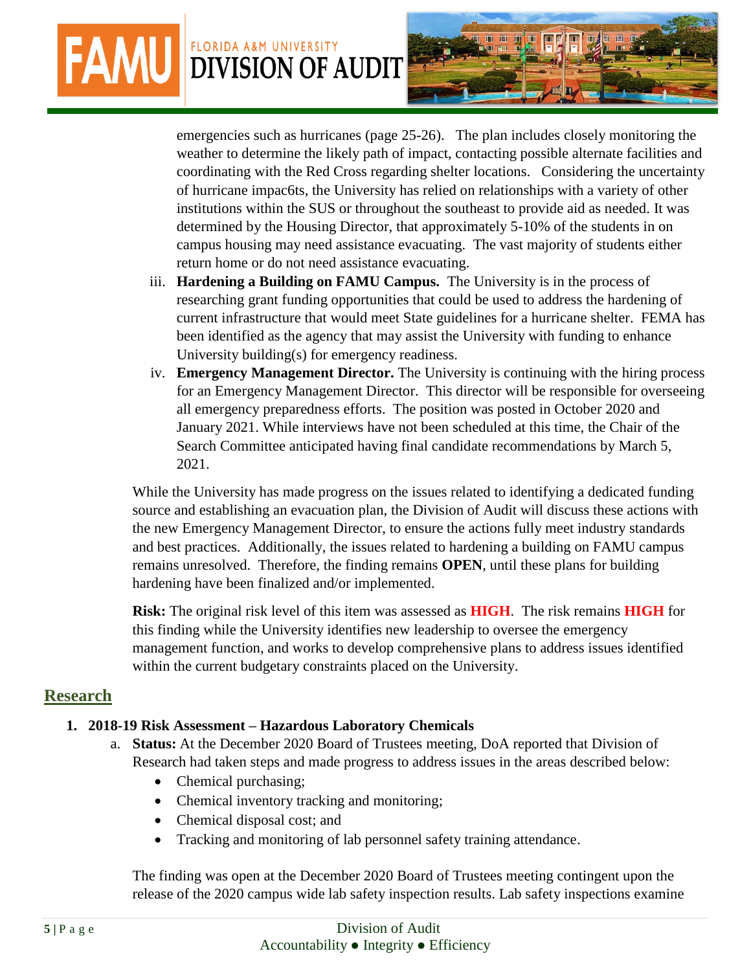# **FAMU DIVISION OF AUDIT** FLORIDA A&M UNIVERSITY



emergencies such as hurricanes (page 25-26). The plan includes closely monitoring the weather to determine the likely path of impact, contacting possible alternate facilities and coordinating with the Red Cross regarding shelter locations. Considering the uncertainty of hurricane impac6ts, the University has relied on relationships with a variety of other institutions within the SUS or throughout the southeast to provide aid as needed. It was determined by the Housing Director, that approximately 5-10% of the students in on campus housing may need assistance evacuating. The vast majority of students either return home or do not need assistance evacuating.

- iii. **Hardening a Building on FAMU Campus.** The University is in the process of researching grant funding opportunities that could be used to address the hardening of current infrastructure that would meet State guidelines for a hurricane shelter. FEMA has been identified as the agency that may assist the University with funding to enhance University building(s) for emergency readiness.
- iv. **Emergency Management Director.** The University is continuing with the hiring process for an Emergency Management Director. This director will be responsible for overseeing all emergency preparedness efforts. The position was posted in October 2020 and January 2021. While interviews have not been scheduled at this time, the Chair of the Search Committee anticipated having final candidate recommendations by March 5, 2021.

While the University has made progress on the issues related to identifying a dedicated funding source and establishing an evacuation plan, the Division of Audit will discuss these actions with the new Emergency Management Director, to ensure the actions fully meet industry standards and best practices. Additionally, the issues related to hardening a building on FAMU campus remains unresolved. Therefore, the finding remains **OPEN**, until these plans for building hardening have been finalized and/or implemented.

**Risk:** The original risk level of this item was assessed as **HIGH**. The risk remains **HIGH** for this finding while the University identifies new leadership to oversee the emergency management function, and works to develop comprehensive plans to address issues identified within the current budgetary constraints placed on the University.

#### **Research**

#### **1. 2018-19 Risk Assessment – Hazardous Laboratory Chemicals**

- a. **Status:** At the December 2020 Board of Trustees meeting, DoA reported that Division of Research had taken steps and made progress to address issues in the areas described below:
	- Chemical purchasing;
	- Chemical inventory tracking and monitoring;
	- Chemical disposal cost; and
	- Tracking and monitoring of lab personnel safety training attendance.

The finding was open at the December 2020 Board of Trustees meeting contingent upon the release of the 2020 campus wide lab safety inspection results. Lab safety inspections examine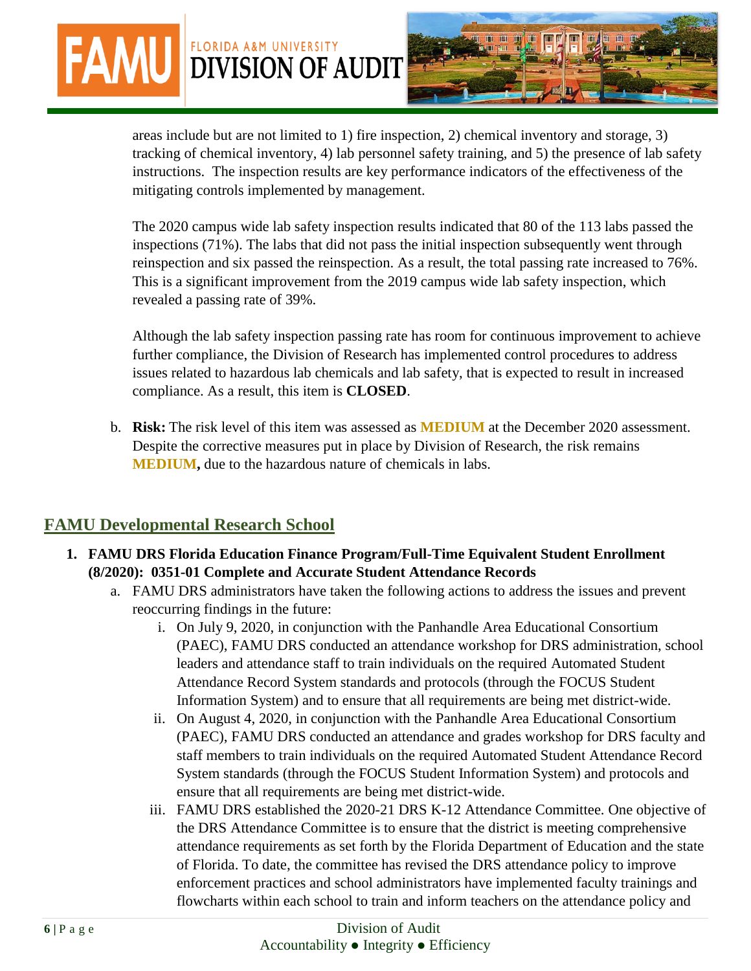areas include but are not limited to 1) fire inspection, 2) chemical inventory and storage, 3) tracking of chemical inventory, 4) lab personnel safety training, and 5) the presence of lab safety instructions. The inspection results are key performance indicators of the effectiveness of the mitigating controls implemented by management.

The 2020 campus wide lab safety inspection results indicated that 80 of the 113 labs passed the inspections (71%). The labs that did not pass the initial inspection subsequently went through reinspection and six passed the reinspection. As a result, the total passing rate increased to 76%. This is a significant improvement from the 2019 campus wide lab safety inspection, which revealed a passing rate of 39%.

Although the lab safety inspection passing rate has room for continuous improvement to achieve further compliance, the Division of Research has implemented control procedures to address issues related to hazardous lab chemicals and lab safety, that is expected to result in increased compliance. As a result, this item is **CLOSED**.

b. **Risk:** The risk level of this item was assessed as **MEDIUM** at the December 2020 assessment. Despite the corrective measures put in place by Division of Research, the risk remains **MEDIUM,** due to the hazardous nature of chemicals in labs.

## **FAMU Developmental Research School**

**FAMU** DIVISION OF AUDIT

- **1. FAMU DRS Florida Education Finance Program/Full-Time Equivalent Student Enrollment (8/2020): 0351-01 Complete and Accurate Student Attendance Records**
	- a. FAMU DRS administrators have taken the following actions to address the issues and prevent reoccurring findings in the future:
		- i. On July 9, 2020, in conjunction with the Panhandle Area Educational Consortium (PAEC), FAMU DRS conducted an attendance workshop for DRS administration, school leaders and attendance staff to train individuals on the required Automated Student Attendance Record System standards and protocols (through the FOCUS Student Information System) and to ensure that all requirements are being met district-wide.
		- ii. On August 4, 2020, in conjunction with the Panhandle Area Educational Consortium (PAEC), FAMU DRS conducted an attendance and grades workshop for DRS faculty and staff members to train individuals on the required Automated Student Attendance Record System standards (through the FOCUS Student Information System) and protocols and ensure that all requirements are being met district-wide.
		- iii. FAMU DRS established the 2020-21 DRS K-12 Attendance Committee. One objective of the DRS Attendance Committee is to ensure that the district is meeting comprehensive attendance requirements as set forth by the Florida Department of Education and the state of Florida. To date, the committee has revised the DRS attendance policy to improve enforcement practices and school administrators have implemented faculty trainings and flowcharts within each school to train and inform teachers on the attendance policy and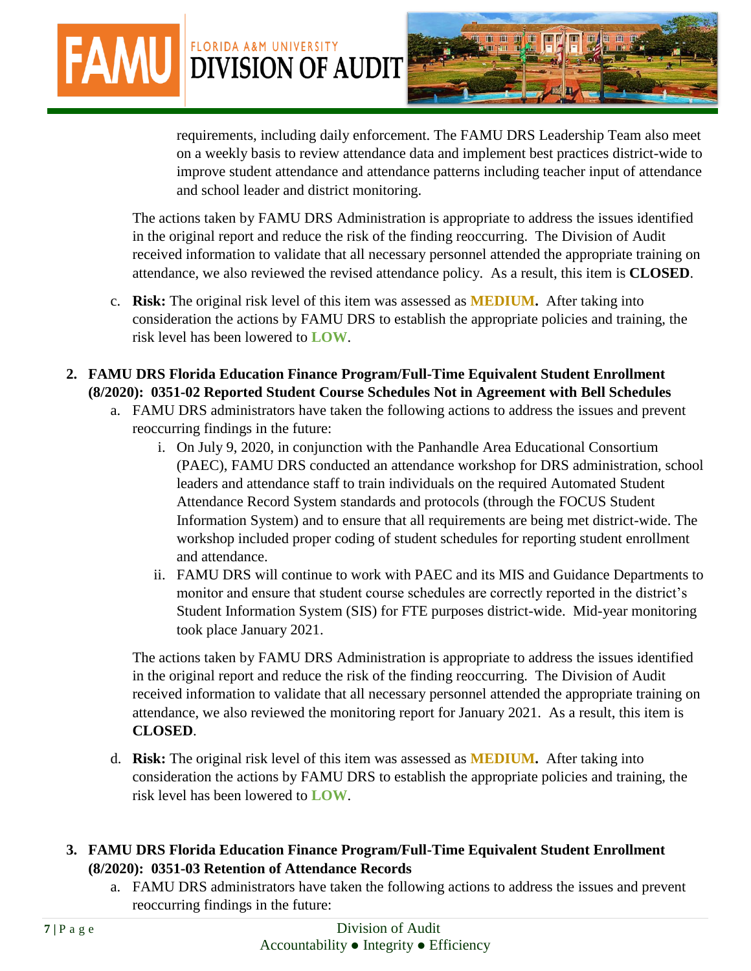requirements, including daily enforcement. The FAMU DRS Leadership Team also meet on a weekly basis to review attendance data and implement best practices district-wide to improve student attendance and attendance patterns including teacher input of attendance and school leader and district monitoring.

The actions taken by FAMU DRS Administration is appropriate to address the issues identified in the original report and reduce the risk of the finding reoccurring. The Division of Audit received information to validate that all necessary personnel attended the appropriate training on attendance, we also reviewed the revised attendance policy. As a result, this item is **CLOSED**.

- c. **Risk:** The original risk level of this item was assessed as **MEDIUM.** After taking into consideration the actions by FAMU DRS to establish the appropriate policies and training, the risk level has been lowered to **LOW**.
- **2. FAMU DRS Florida Education Finance Program/Full-Time Equivalent Student Enrollment (8/2020): 0351-02 Reported Student Course Schedules Not in Agreement with Bell Schedules**

**FAMU DIVISION OF AUDIT** 

- a. FAMU DRS administrators have taken the following actions to address the issues and prevent reoccurring findings in the future:
	- i. On July 9, 2020, in conjunction with the Panhandle Area Educational Consortium (PAEC), FAMU DRS conducted an attendance workshop for DRS administration, school leaders and attendance staff to train individuals on the required Automated Student Attendance Record System standards and protocols (through the FOCUS Student Information System) and to ensure that all requirements are being met district-wide. The workshop included proper coding of student schedules for reporting student enrollment and attendance.
	- ii. FAMU DRS will continue to work with PAEC and its MIS and Guidance Departments to monitor and ensure that student course schedules are correctly reported in the district's Student Information System (SIS) for FTE purposes district-wide. Mid-year monitoring took place January 2021.

The actions taken by FAMU DRS Administration is appropriate to address the issues identified in the original report and reduce the risk of the finding reoccurring. The Division of Audit received information to validate that all necessary personnel attended the appropriate training on attendance, we also reviewed the monitoring report for January 2021. As a result, this item is **CLOSED**.

- d. **Risk:** The original risk level of this item was assessed as **MEDIUM.** After taking into consideration the actions by FAMU DRS to establish the appropriate policies and training, the risk level has been lowered to **LOW**.
- **3. FAMU DRS Florida Education Finance Program/Full-Time Equivalent Student Enrollment (8/2020): 0351-03 Retention of Attendance Records**
	- a. FAMU DRS administrators have taken the following actions to address the issues and prevent reoccurring findings in the future: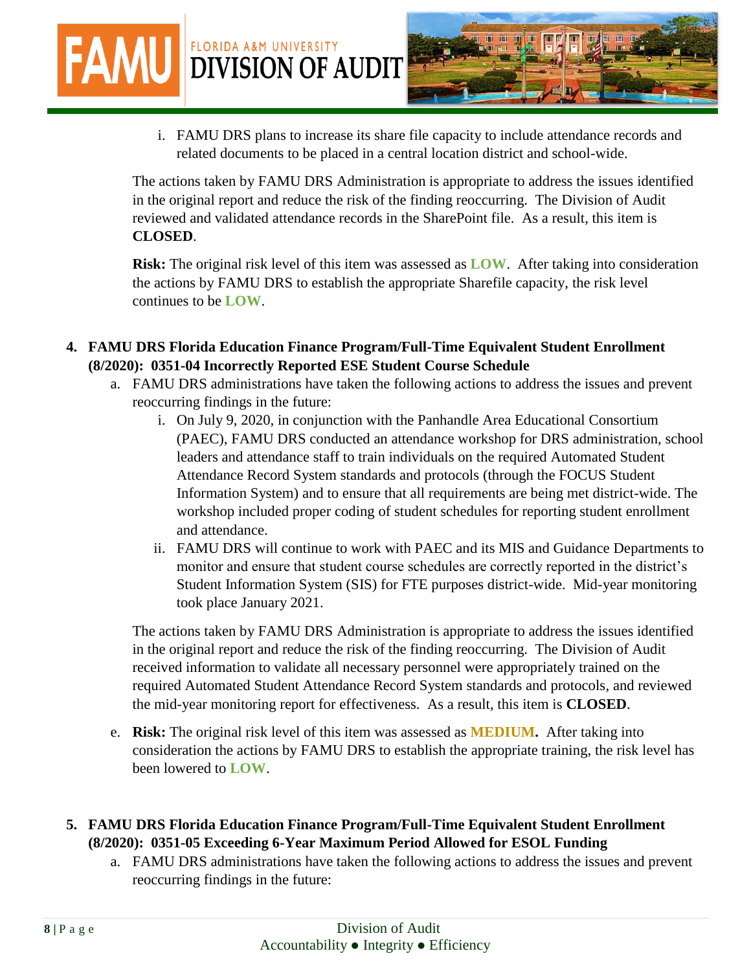**FAMU DIVISION OF AUDIT** 



i. FAMU DRS plans to increase its share file capacity to include attendance records and related documents to be placed in a central location district and school-wide.

The actions taken by FAMU DRS Administration is appropriate to address the issues identified in the original report and reduce the risk of the finding reoccurring. The Division of Audit reviewed and validated attendance records in the SharePoint file. As a result, this item is **CLOSED**.

**Risk:** The original risk level of this item was assessed as **LOW**. After taking into consideration the actions by FAMU DRS to establish the appropriate Sharefile capacity, the risk level continues to be **LOW**.

- **4. FAMU DRS Florida Education Finance Program/Full-Time Equivalent Student Enrollment (8/2020): 0351-04 Incorrectly Reported ESE Student Course Schedule**
	- a. FAMU DRS administrations have taken the following actions to address the issues and prevent reoccurring findings in the future:
		- i. On July 9, 2020, in conjunction with the Panhandle Area Educational Consortium (PAEC), FAMU DRS conducted an attendance workshop for DRS administration, school leaders and attendance staff to train individuals on the required Automated Student Attendance Record System standards and protocols (through the FOCUS Student Information System) and to ensure that all requirements are being met district-wide. The workshop included proper coding of student schedules for reporting student enrollment and attendance.
		- ii. FAMU DRS will continue to work with PAEC and its MIS and Guidance Departments to monitor and ensure that student course schedules are correctly reported in the district's Student Information System (SIS) for FTE purposes district-wide. Mid-year monitoring took place January 2021.

The actions taken by FAMU DRS Administration is appropriate to address the issues identified in the original report and reduce the risk of the finding reoccurring. The Division of Audit received information to validate all necessary personnel were appropriately trained on the required Automated Student Attendance Record System standards and protocols, and reviewed the mid-year monitoring report for effectiveness. As a result, this item is **CLOSED**.

- e. **Risk:** The original risk level of this item was assessed as **MEDIUM.** After taking into consideration the actions by FAMU DRS to establish the appropriate training, the risk level has been lowered to **LOW**.
- **5. FAMU DRS Florida Education Finance Program/Full-Time Equivalent Student Enrollment (8/2020): 0351-05 Exceeding 6-Year Maximum Period Allowed for ESOL Funding**
	- a. FAMU DRS administrations have taken the following actions to address the issues and prevent reoccurring findings in the future: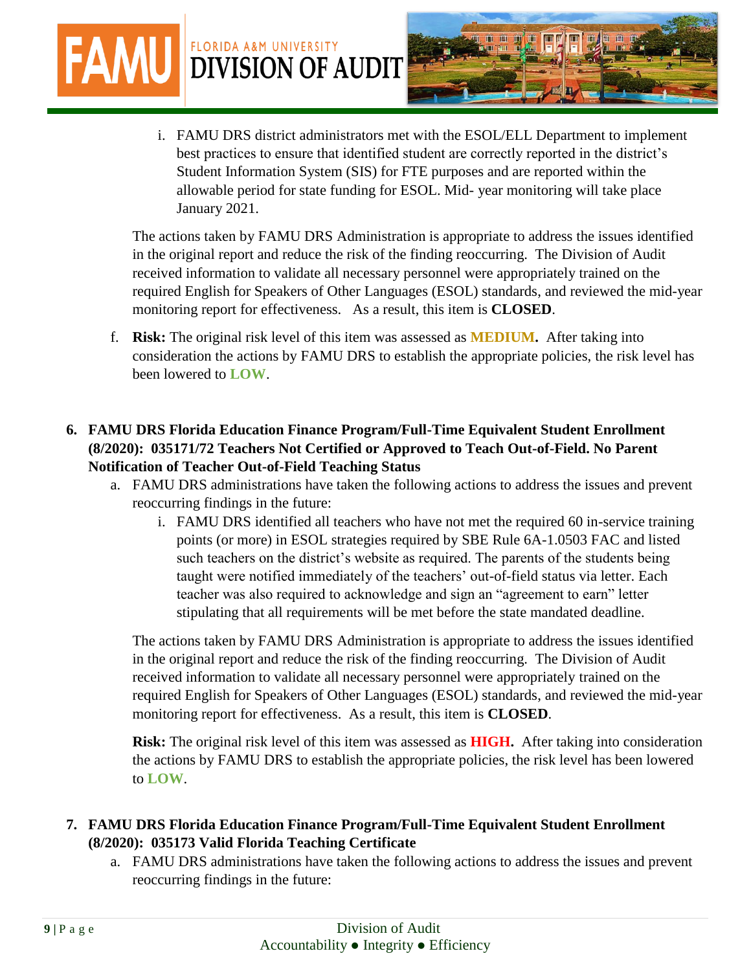**FAMU DIVISION OF AUDIT** i. FAMU DRS district administrators met with the ESOL/ELL Department to implement best practices to ensure that identified student are correctly reported in the district's Student Information System (SIS) for FTE purposes and are reported within the allowable period for state funding for ESOL. Mid- year monitoring will take place

> The actions taken by FAMU DRS Administration is appropriate to address the issues identified in the original report and reduce the risk of the finding reoccurring. The Division of Audit received information to validate all necessary personnel were appropriately trained on the required English for Speakers of Other Languages (ESOL) standards, and reviewed the mid-year monitoring report for effectiveness. As a result, this item is **CLOSED**.

- f. **Risk:** The original risk level of this item was assessed as **MEDIUM.** After taking into consideration the actions by FAMU DRS to establish the appropriate policies, the risk level has been lowered to **LOW**.
- **6. FAMU DRS Florida Education Finance Program/Full-Time Equivalent Student Enrollment (8/2020): 035171/72 Teachers Not Certified or Approved to Teach Out-of-Field. No Parent Notification of Teacher Out-of-Field Teaching Status**

January 2021.

- a. FAMU DRS administrations have taken the following actions to address the issues and prevent reoccurring findings in the future:
	- i. FAMU DRS identified all teachers who have not met the required 60 in-service training points (or more) in ESOL strategies required by SBE Rule 6A-1.0503 FAC and listed such teachers on the district's website as required. The parents of the students being taught were notified immediately of the teachers' out-of-field status via letter. Each teacher was also required to acknowledge and sign an "agreement to earn" letter stipulating that all requirements will be met before the state mandated deadline.

The actions taken by FAMU DRS Administration is appropriate to address the issues identified in the original report and reduce the risk of the finding reoccurring. The Division of Audit received information to validate all necessary personnel were appropriately trained on the required English for Speakers of Other Languages (ESOL) standards, and reviewed the mid-year monitoring report for effectiveness. As a result, this item is **CLOSED**.

**Risk:** The original risk level of this item was assessed as **HIGH.** After taking into consideration the actions by FAMU DRS to establish the appropriate policies, the risk level has been lowered to **LOW**.

- **7. FAMU DRS Florida Education Finance Program/Full-Time Equivalent Student Enrollment (8/2020): 035173 Valid Florida Teaching Certificate**
	- a. FAMU DRS administrations have taken the following actions to address the issues and prevent reoccurring findings in the future: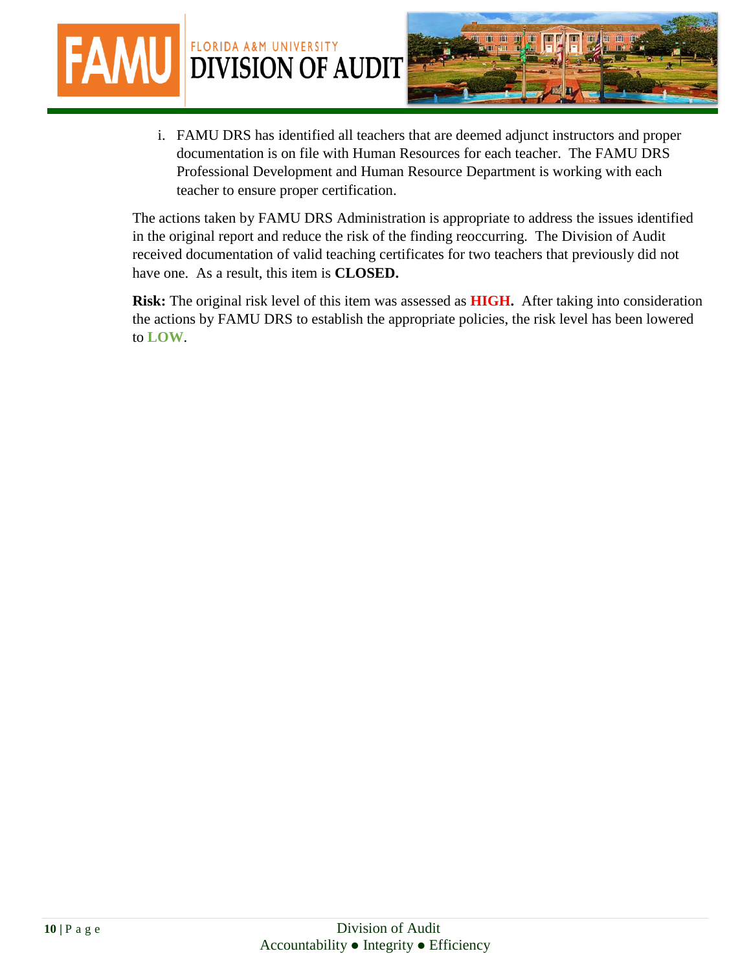

i. FAMU DRS has identified all teachers that are deemed adjunct instructors and proper documentation is on file with Human Resources for each teacher. The FAMU DRS Professional Development and Human Resource Department is working with each teacher to ensure proper certification.

The actions taken by FAMU DRS Administration is appropriate to address the issues identified in the original report and reduce the risk of the finding reoccurring. The Division of Audit received documentation of valid teaching certificates for two teachers that previously did not have one. As a result, this item is **CLOSED.**

**Risk:** The original risk level of this item was assessed as **HIGH.** After taking into consideration the actions by FAMU DRS to establish the appropriate policies, the risk level has been lowered to **LOW**.

**FAM**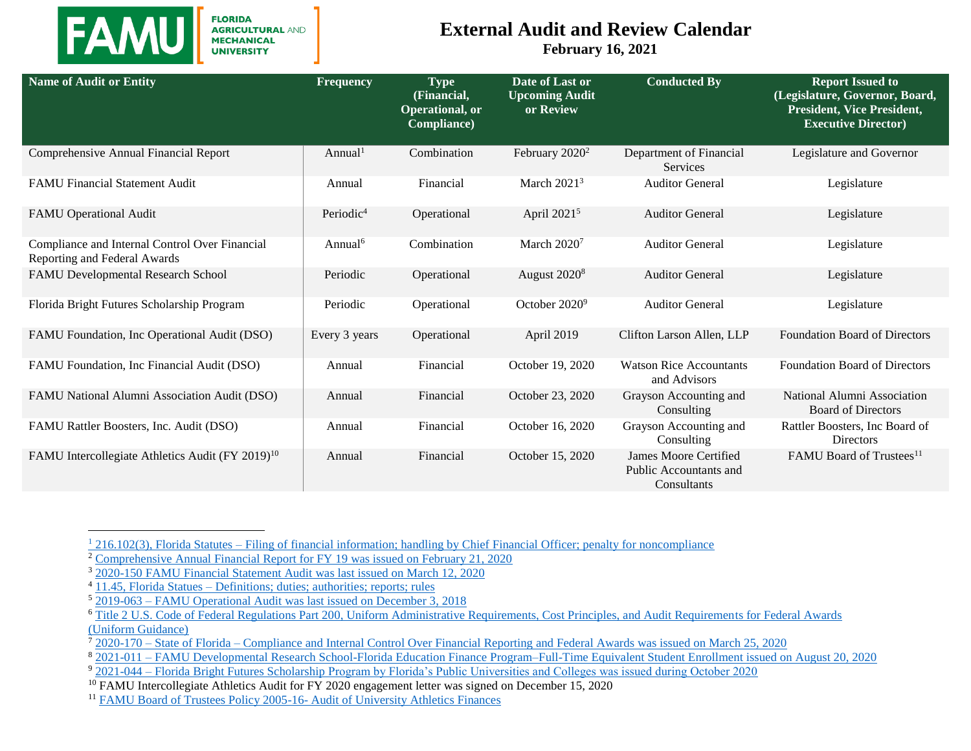

 $\overline{a}$ 

**FLORIDA AGRICULTURAL AND<br>MECHANICAL UNIVERSITY** 

#### **External Audit and Review Calendar**

**February 16, 2021**

| <b>Name of Audit or Entity</b>                                                 | Frequency             | <b>Type</b><br>(Financial,<br>Operational, or<br>Compliance) | Date of Last or<br><b>Upcoming Audit</b><br>or Review | <b>Conducted By</b>                                                          | <b>Report Issued to</b><br>(Legislature, Governor, Board,<br><b>President, Vice President,</b><br><b>Executive Director)</b> |
|--------------------------------------------------------------------------------|-----------------------|--------------------------------------------------------------|-------------------------------------------------------|------------------------------------------------------------------------------|------------------------------------------------------------------------------------------------------------------------------|
| Comprehensive Annual Financial Report                                          | Annual <sup>1</sup>   | Combination                                                  | February $2020^2$                                     | Department of Financial<br>Services                                          | Legislature and Governor                                                                                                     |
| <b>FAMU Financial Statement Audit</b>                                          | Annual                | Financial                                                    | March $20213$                                         | <b>Auditor General</b>                                                       | Legislature                                                                                                                  |
| <b>FAMU</b> Operational Audit                                                  | Periodic <sup>4</sup> | Operational                                                  | April 2021 <sup>5</sup>                               | <b>Auditor General</b>                                                       | Legislature                                                                                                                  |
| Compliance and Internal Control Over Financial<br>Reporting and Federal Awards | Annual <sup>6</sup>   | Combination                                                  | March $20207$                                         | <b>Auditor General</b>                                                       | Legislature                                                                                                                  |
| FAMU Developmental Research School                                             | Periodic              | Operational                                                  | August $20208$                                        | <b>Auditor General</b>                                                       | Legislature                                                                                                                  |
| Florida Bright Futures Scholarship Program                                     | Periodic              | Operational                                                  | October 2020 <sup>9</sup>                             | <b>Auditor General</b>                                                       | Legislature                                                                                                                  |
| FAMU Foundation, Inc Operational Audit (DSO)                                   | Every 3 years         | Operational                                                  | April 2019                                            | Clifton Larson Allen, LLP                                                    | <b>Foundation Board of Directors</b>                                                                                         |
| FAMU Foundation, Inc Financial Audit (DSO)                                     | Annual                | Financial                                                    | October 19, 2020                                      | <b>Watson Rice Accountants</b><br>and Advisors                               | <b>Foundation Board of Directors</b>                                                                                         |
| FAMU National Alumni Association Audit (DSO)                                   | Annual                | Financial                                                    | October 23, 2020                                      | Grayson Accounting and<br>Consulting                                         | National Alumni Association<br><b>Board of Directors</b>                                                                     |
| FAMU Rattler Boosters, Inc. Audit (DSO)                                        | Annual                | Financial                                                    | October 16, 2020                                      | Grayson Accounting and<br>Consulting                                         | Rattler Boosters, Inc Board of<br>Directors                                                                                  |
| FAMU Intercollegiate Athletics Audit (FY 2019) <sup>10</sup>                   | Annual                | Financial                                                    | October 15, 2020                                      | <b>James Moore Certified</b><br><b>Public Accountants and</b><br>Consultants | FAMU Board of Trustees <sup>11</sup>                                                                                         |

<sup>&</sup>lt;sup>1</sup> 216.102(3), Florida Statutes – [Filing of financial information; handling by Chief Financial Officer; penalty for noncompliance](https://m.flsenate.gov/Statutes/216.102)

<sup>&</sup>lt;sup>2</sup> [Comprehensive Annual Financial Report for FY 19 was issued on February 21, 2020](https://flauditor.gov/pages/pdf_files/2019%20cafr.pdf)

<sup>3</sup> [2020-150 FAMU Financial Statement Audit](https://flauditor.gov/pages/pdf_files/2020-150.pdf) was last issued on March 12, 2020

<sup>4</sup> 11.45, Florida Statues – [Definitions; duties; authorities; reports; rules](https://www.flsenate.gov/Laws/Statutes/2020/11.45)

<sup>5</sup> 2019-063 – FAMU Operational Audit [was last issued on December 3, 2018](https://flauditor.gov/pages/pdf_files/2019-063.pdf)

<sup>6</sup> [Title 2 U.S. Code of Federal Regulations Part 200, Uniform Administrative Requirements, Cost Principles, and Audit Requirements for Federal Awards](https://ecfr.io/Title-2/Part-200)  [\(Uniform Guidance\)](https://ecfr.io/Title-2/Part-200)

<sup>7</sup> 2020-170 – State of Florida – [Compliance and Internal Control Over Financial Reporting and Federal Awards was issued on March 25, 2020](https://flauditor.gov/pages/pdf_files/2020-170.pdf)

<sup>8</sup> 2021-011 – [FAMU Developmental Research School-Florida Education Finance Program–Full-Time Equivalent Student Enrollment issued on August 20, 2020](file:///C:/Carl/C-drive/Famu%20Files%20-%20New_Sept_2017/Joe%20Maleszewski%20-%20Chief%20Audit%20Executive/External%20Audits%20Tracking/External%20Audit%20Reports/2021-011_DRS%20Florida%20Education%20Finance%20Program%20Full%20Time%20Equivalent%20Student%20Enrollment.pdf)

<sup>9 2021-044 –</sup> Florida Bright Futures Scholarship [Program by Florida's Public Universities and Colleges was issued during October 2020](https://flauditor.gov/pages/pdf_files/2021-044.pdf)

<sup>&</sup>lt;sup>10</sup> FAMU Intercollegiate Athletics Audit for FY 2020 engagement letter was signed on December 15, 2020

<sup>11</sup> [FAMU Board of Trustees Policy 2005-16-](http://www.famu.edu/BOT/BOT-POLICY-_Audit_of_University_Athletics_Finances.pdf) Audit of University Athletics Finances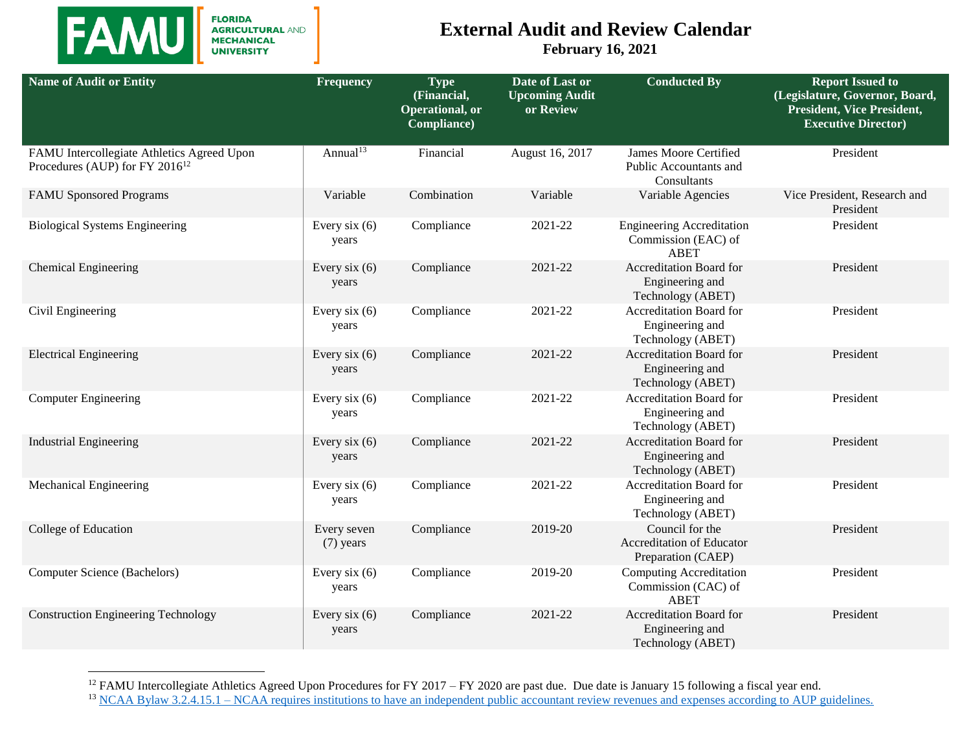

 $\overline{a}$ 

FLORIDA<br>AGRICULTURAL AND<br>MECHANICAL<br>UNIVERSITY

## **External Audit and Review Calendar**

**February 16, 2021**

| <b>Name of Audit or Entity</b>                                                           | <b>Frequency</b>           | <b>Type</b><br>(Financial,<br>Operational, or<br>Compliance) | Date of Last or<br><b>Upcoming Audit</b><br>or Review | <b>Conducted By</b>                                                    | <b>Report Issued to</b><br>(Legislature, Governor, Board,<br><b>President, Vice President,</b><br><b>Executive Director)</b> |
|------------------------------------------------------------------------------------------|----------------------------|--------------------------------------------------------------|-------------------------------------------------------|------------------------------------------------------------------------|------------------------------------------------------------------------------------------------------------------------------|
| FAMU Intercollegiate Athletics Agreed Upon<br>Procedures (AUP) for FY 2016 <sup>12</sup> | Annual <sup>13</sup>       | Financial                                                    | August 16, 2017                                       | <b>James Moore Certified</b><br>Public Accountants and<br>Consultants  | President                                                                                                                    |
| <b>FAMU Sponsored Programs</b>                                                           | Variable                   | Combination                                                  | Variable                                              | Variable Agencies                                                      | Vice President, Research and<br>President                                                                                    |
| <b>Biological Systems Engineering</b>                                                    | Every six $(6)$<br>years   | Compliance                                                   | 2021-22                                               | <b>Engineering Accreditation</b><br>Commission (EAC) of<br><b>ABET</b> | President                                                                                                                    |
| <b>Chemical Engineering</b>                                                              | Every six $(6)$<br>years   | Compliance                                                   | 2021-22                                               | <b>Accreditation Board for</b><br>Engineering and<br>Technology (ABET) | President                                                                                                                    |
| Civil Engineering                                                                        | Every six $(6)$<br>years   | Compliance                                                   | 2021-22                                               | Accreditation Board for<br>Engineering and<br>Technology (ABET)        | President                                                                                                                    |
| <b>Electrical Engineering</b>                                                            | Every six $(6)$<br>years   | Compliance                                                   | 2021-22                                               | Accreditation Board for<br>Engineering and<br>Technology (ABET)        | President                                                                                                                    |
| <b>Computer Engineering</b>                                                              | Every six $(6)$<br>years   | Compliance                                                   | 2021-22                                               | Accreditation Board for<br>Engineering and<br>Technology (ABET)        | President                                                                                                                    |
| <b>Industrial Engineering</b>                                                            | Every six $(6)$<br>years   | Compliance                                                   | 2021-22                                               | <b>Accreditation Board for</b><br>Engineering and<br>Technology (ABET) | President                                                                                                                    |
| Mechanical Engineering                                                                   | Every six $(6)$<br>years   | Compliance                                                   | 2021-22                                               | Accreditation Board for<br>Engineering and<br>Technology (ABET)        | President                                                                                                                    |
| College of Education                                                                     | Every seven<br>$(7)$ years | Compliance                                                   | 2019-20                                               | Council for the<br>Accreditation of Educator<br>Preparation (CAEP)     | President                                                                                                                    |
| Computer Science (Bachelors)                                                             | Every six $(6)$<br>years   | Compliance                                                   | 2019-20                                               | Computing Accreditation<br>Commission (CAC) of<br><b>ABET</b>          | President                                                                                                                    |
| <b>Construction Engineering Technology</b>                                               | Every six $(6)$<br>years   | Compliance                                                   | 2021-22                                               | Accreditation Board for<br>Engineering and<br>Technology (ABET)        | President                                                                                                                    |

<sup>&</sup>lt;sup>12</sup> FAMU Intercollegiate Athletics Agreed Upon Procedures for FY 2017 – FY 2020 are past due. Due date is January 15 following a fiscal year end.

<sup>&</sup>lt;sup>13</sup> NCAA Bylaw 3.2.4.15.1 – [NCAA requires institutions to have an independent public accountant review revenues and expenses according to AUP guidelines.](https://www.ncaa.org/about/resources/finances/ncaa-membership-financial-reporting-system)